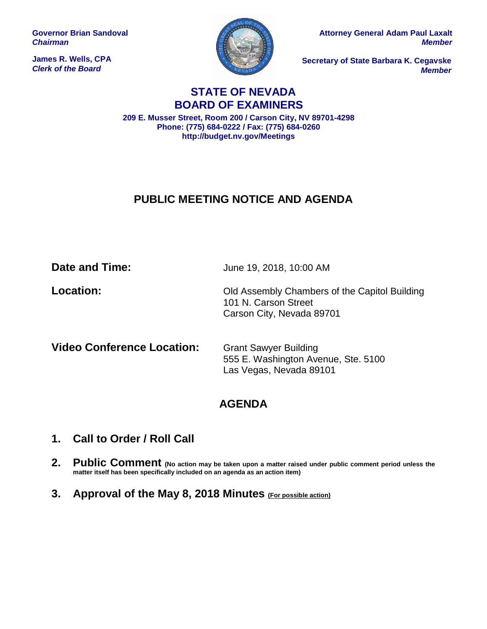**Governor Brian Sandoval** *Chairman*

**James R. Wells, CPA** *Clerk of the Board*



**Attorney General Adam Paul Laxalt** *Member*

**Secretary of State Barbara K. Cegavske** *Member*

## **STATE OF NEVADA BOARD OF EXAMINERS**

**209 E. Musser Street, Room 200 / Carson City, NV 89701-4298 Phone: (775) 684-0222 / Fax: (775) 684-0260 http://budget.nv.gov/Meetings**

# **PUBLIC MEETING NOTICE AND AGENDA**

**Date and Time:** June 19, 2018, 10:00 AM

**Location:** Cld Assembly Chambers of the Capitol Building 101 N. Carson Street Carson City, Nevada 89701

**Video Conference Location:** Grant Sawyer Building

555 E. Washington Avenue, Ste. 5100 Las Vegas, Nevada 89101

# **AGENDA**

- **1. Call to Order / Roll Call**
- **2. Public Comment (No action may be taken upon a matter raised under public comment period unless the matter itself has been specifically included on an agenda as an action item)**
- **3. Approval of the May 8, 2018 Minutes (For possible action)**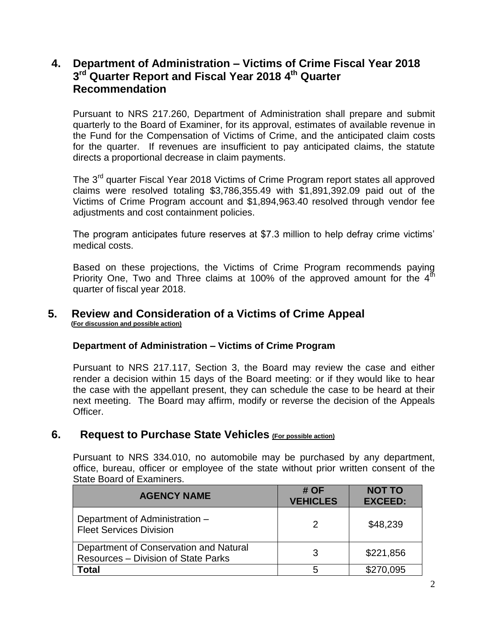## **4. Department of Administration – Victims of Crime Fiscal Year 2018 3 rd Quarter Report and Fiscal Year 2018 4 th Quarter Recommendation**

Pursuant to NRS 217.260, Department of Administration shall prepare and submit quarterly to the Board of Examiner, for its approval, estimates of available revenue in the Fund for the Compensation of Victims of Crime, and the anticipated claim costs for the quarter. If revenues are insufficient to pay anticipated claims, the statute directs a proportional decrease in claim payments.

The 3<sup>rd</sup> quarter Fiscal Year 2018 Victims of Crime Program report states all approved claims were resolved totaling \$3,786,355.49 with \$1,891,392.09 paid out of the Victims of Crime Program account and \$1,894,963.40 resolved through vendor fee adjustments and cost containment policies.

The program anticipates future reserves at \$7.3 million to help defray crime victims' medical costs.

Based on these projections, the Victims of Crime Program recommends paying Priority One, Two and Three claims at 100% of the approved amount for the  $4<sup>th</sup>$ quarter of fiscal year 2018.

#### **5. Review and Consideration of a Victims of Crime Appeal (For discussion and possible action)**

#### **Department of Administration – Victims of Crime Program**

Pursuant to NRS 217.117, Section 3, the Board may review the case and either render a decision within 15 days of the Board meeting: or if they would like to hear the case with the appellant present, they can schedule the case to be heard at their next meeting. The Board may affirm, modify or reverse the decision of the Appeals Officer.

## **6. Request to Purchase State Vehicles (For possible action)**

Pursuant to NRS 334.010, no automobile may be purchased by any department, office, bureau, officer or employee of the state without prior written consent of the State Board of Examiners.

| <b>AGENCY NAME</b>                                                                   | # OF<br><b>VEHICLES</b> | <b>NOT TO</b><br><b>EXCEED:</b> |
|--------------------------------------------------------------------------------------|-------------------------|---------------------------------|
| Department of Administration -<br><b>Fleet Services Division</b>                     | 2                       | \$48,239                        |
| Department of Conservation and Natural<br><b>Resources - Division of State Parks</b> | 3                       | \$221,856                       |
| <b>Total</b>                                                                         | 5                       | \$270,095                       |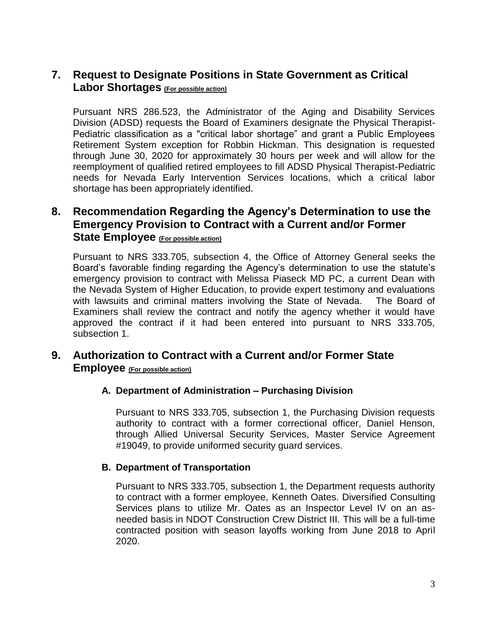## **7. Request to Designate Positions in State Government as Critical Labor Shortages (For possible action)**

Pursuant NRS 286.523, the Administrator of the Aging and Disability Services Division (ADSD) requests the Board of Examiners designate the Physical Therapist-Pediatric classification as a "critical labor shortage" and grant a Public Employees Retirement System exception for Robbin Hickman. This designation is requested through June 30, 2020 for approximately 30 hours per week and will allow for the reemployment of qualified retired employees to fill ADSD Physical Therapist-Pediatric needs for Nevada Early Intervention Services locations, which a critical labor shortage has been appropriately identified.

## **8. Recommendation Regarding the Agency's Determination to use the Emergency Provision to Contract with a Current and/or Former State Employee (For possible action)**

Pursuant to NRS 333.705, subsection 4, the Office of Attorney General seeks the Board's favorable finding regarding the Agency's determination to use the statute's emergency provision to contract with Melissa Piaseck MD PC, a current Dean with the Nevada System of Higher Education, to provide expert testimony and evaluations with lawsuits and criminal matters involving the State of Nevada. The Board of Examiners shall review the contract and notify the agency whether it would have approved the contract if it had been entered into pursuant to NRS 333.705, subsection 1.

## **9. Authorization to Contract with a Current and/or Former State Employee (For possible action)**

#### **A. Department of Administration – Purchasing Division**

Pursuant to NRS 333.705, subsection 1, the Purchasing Division requests authority to contract with a former correctional officer, Daniel Henson, through Allied Universal Security Services, Master Service Agreement #19049, to provide uniformed security guard services.

#### **B. Department of Transportation**

Pursuant to NRS 333.705, subsection 1, the Department requests authority to contract with a former employee, Kenneth Oates. Diversified Consulting Services plans to utilize Mr. Oates as an Inspector Level IV on an asneeded basis in NDOT Construction Crew District III. This will be a full-time contracted position with season layoffs working from June 2018 to April 2020.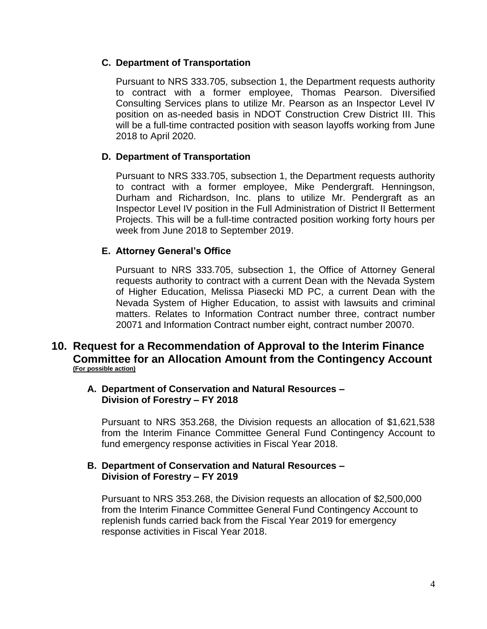#### **C. Department of Transportation**

Pursuant to NRS 333.705, subsection 1, the Department requests authority to contract with a former employee, Thomas Pearson. Diversified Consulting Services plans to utilize Mr. Pearson as an Inspector Level IV position on as-needed basis in NDOT Construction Crew District III. This will be a full-time contracted position with season layoffs working from June 2018 to April 2020.

### **D. Department of Transportation**

Pursuant to NRS 333.705, subsection 1, the Department requests authority to contract with a former employee, Mike Pendergraft. Henningson, Durham and Richardson, Inc. plans to utilize Mr. Pendergraft as an Inspector Level IV position in the Full Administration of District II Betterment Projects. This will be a full-time contracted position working forty hours per week from June 2018 to September 2019.

### **E. Attorney General's Office**

Pursuant to NRS 333.705, subsection 1, the Office of Attorney General requests authority to contract with a current Dean with the Nevada System of Higher Education, Melissa Piasecki MD PC, a current Dean with the Nevada System of Higher Education, to assist with lawsuits and criminal matters. Relates to Information Contract number three, contract number 20071 and Information Contract number eight, contract number 20070.

### **10. Request for a Recommendation of Approval to the Interim Finance Committee for an Allocation Amount from the Contingency Account (For possible action)**

#### **A. Department of Conservation and Natural Resources – Division of Forestry – FY 2018**

Pursuant to NRS 353.268, the Division requests an allocation of \$1,621,538 from the Interim Finance Committee General Fund Contingency Account to fund emergency response activities in Fiscal Year 2018.

#### **B. Department of Conservation and Natural Resources – Division of Forestry – FY 2019**

Pursuant to NRS 353.268, the Division requests an allocation of \$2,500,000 from the Interim Finance Committee General Fund Contingency Account to replenish funds carried back from the Fiscal Year 2019 for emergency response activities in Fiscal Year 2018.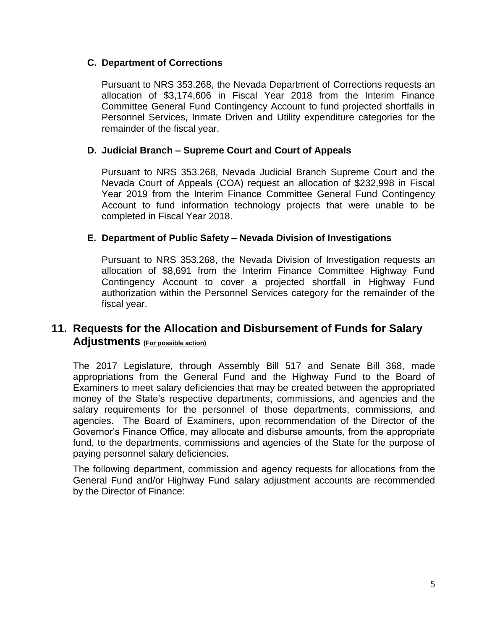#### **C. Department of Corrections**

Pursuant to NRS 353.268, the Nevada Department of Corrections requests an allocation of \$3,174,606 in Fiscal Year 2018 from the Interim Finance Committee General Fund Contingency Account to fund projected shortfalls in Personnel Services, Inmate Driven and Utility expenditure categories for the remainder of the fiscal year.

### **D. Judicial Branch – Supreme Court and Court of Appeals**

Pursuant to NRS 353.268, Nevada Judicial Branch Supreme Court and the Nevada Court of Appeals (COA) request an allocation of \$232,998 in Fiscal Year 2019 from the Interim Finance Committee General Fund Contingency Account to fund information technology projects that were unable to be completed in Fiscal Year 2018.

### **E. Department of Public Safety – Nevada Division of Investigations**

Pursuant to NRS 353.268, the Nevada Division of Investigation requests an allocation of \$8,691 from the Interim Finance Committee Highway Fund Contingency Account to cover a projected shortfall in Highway Fund authorization within the Personnel Services category for the remainder of the fiscal year.

## **11. Requests for the Allocation and Disbursement of Funds for Salary Adjustments (For possible action)**

The 2017 Legislature, through Assembly Bill 517 and Senate Bill 368, made appropriations from the General Fund and the Highway Fund to the Board of Examiners to meet salary deficiencies that may be created between the appropriated money of the State's respective departments, commissions, and agencies and the salary requirements for the personnel of those departments, commissions, and agencies. The Board of Examiners, upon recommendation of the Director of the Governor's Finance Office, may allocate and disburse amounts, from the appropriate fund, to the departments, commissions and agencies of the State for the purpose of paying personnel salary deficiencies.

The following department, commission and agency requests for allocations from the General Fund and/or Highway Fund salary adjustment accounts are recommended by the Director of Finance: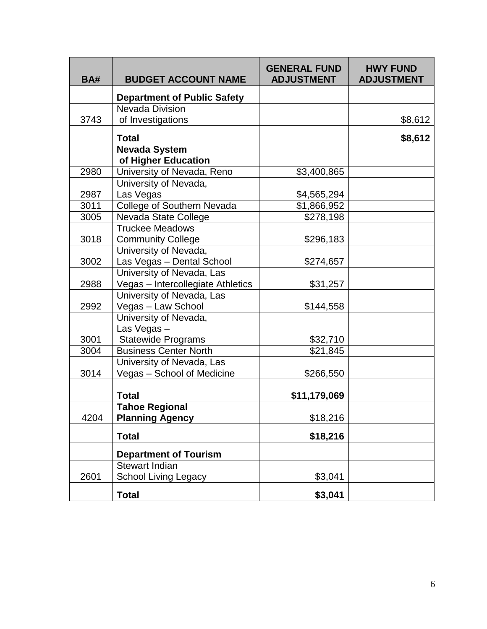| <b>BA#</b> | <b>BUDGET ACCOUNT NAME</b>                  | <b>GENERAL FUND</b><br><b>ADJUSTMENT</b> | <b>HWY FUND</b><br><b>ADJUSTMENT</b> |
|------------|---------------------------------------------|------------------------------------------|--------------------------------------|
|            | <b>Department of Public Safety</b>          |                                          |                                      |
|            | <b>Nevada Division</b>                      |                                          |                                      |
| 3743       | of Investigations                           |                                          | \$8,612                              |
|            | <b>Total</b>                                |                                          | \$8,612                              |
|            | <b>Nevada System</b><br>of Higher Education |                                          |                                      |
| 2980       | University of Nevada, Reno                  | \$3,400,865                              |                                      |
|            | University of Nevada,                       |                                          |                                      |
| 2987       | Las Vegas                                   | \$4,565,294                              |                                      |
| 3011       | College of Southern Nevada                  | \$1,866,952                              |                                      |
| 3005       | Nevada State College                        | \$278,198                                |                                      |
|            | <b>Truckee Meadows</b>                      |                                          |                                      |
| 3018       | <b>Community College</b>                    | \$296,183                                |                                      |
|            | University of Nevada,                       |                                          |                                      |
| 3002       | Las Vegas - Dental School                   | \$274,657                                |                                      |
|            | University of Nevada, Las                   |                                          |                                      |
| 2988       | Vegas - Intercollegiate Athletics           | \$31,257                                 |                                      |
|            | University of Nevada, Las                   |                                          |                                      |
| 2992       | Vegas - Law School                          | \$144,558                                |                                      |
|            | University of Nevada,                       |                                          |                                      |
|            | Las Vegas-                                  |                                          |                                      |
| 3001       | <b>Statewide Programs</b>                   | \$32,710                                 |                                      |
| 3004       | <b>Business Center North</b>                | \$21,845                                 |                                      |
|            | University of Nevada, Las                   |                                          |                                      |
| 3014       | Vegas - School of Medicine                  | \$266,550                                |                                      |
|            |                                             |                                          |                                      |
|            | <b>Total</b>                                | \$11,179,069                             |                                      |
|            | <b>Tahoe Regional</b>                       |                                          |                                      |
| 4204       | <b>Planning Agency</b>                      | \$18,216                                 |                                      |
|            | <b>Total</b>                                | \$18,216                                 |                                      |
|            | <b>Department of Tourism</b>                |                                          |                                      |
|            | <b>Stewart Indian</b>                       |                                          |                                      |
| 2601       | <b>School Living Legacy</b>                 | \$3,041                                  |                                      |
|            | <b>Total</b>                                | \$3,041                                  |                                      |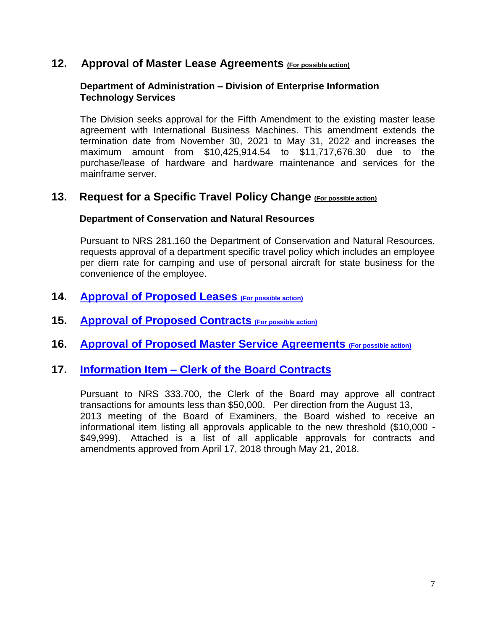### **12. Approval of Master Lease Agreements (For possible action)**

#### **Department of Administration – Division of Enterprise Information Technology Services**

The Division seeks approval for the Fifth Amendment to the existing master lease agreement with International Business Machines. This amendment extends the termination date from November 30, 2021 to May 31, 2022 and increases the maximum amount from \$10,425,914.54 to \$11,717,676.30 due to the purchase/lease of hardware and hardware maintenance and services for the mainframe server.

### **13. Request for a Specific Travel Policy Change (For possible action)**

#### **Department of Conservation and Natural Resources**

Pursuant to NRS 281.160 the Department of Conservation and Natural Resources, requests approval of a department specific travel policy which includes an employee per diem rate for camping and use of personal aircraft for state business for the convenience of the employee.

- **14. [Approval of Proposed Leases](/uploadedFiles/budget.nv.gov/content/Meetings/Board_of_Examiners/2017(1)/Agenda_Item_14_Leases_Summary.pdf) (For possible action)**
- **15. [Approval of Proposed Contracts](/uploadedFiles/budget.nv.gov/content/Meetings/Board_of_Examiners/2017(1)/Agenda_Item_15_Contracts_Summary.pdf) (For possible action)**
- **16. [Approval of Proposed Master Service Agreements](http://budget.nv.gov/uploadedFiles/budget.nv.gov/content/Meetings/Board_of_Examiners/2017(1)/Agenda_Item_16_Master_Service_Agreement_Summary.pdf) (For possible action)**

## **17. Information Item – [Clerk of the Board Contracts](/uploadedFiles/budget.nv.gov/content/Meetings/Board_of_Examiners/2017(1)/Agenda_Item_17_Info_Contract_Summary.pdf)**

Pursuant to NRS 333.700, the Clerk of the Board may approve all contract transactions for amounts less than \$50,000. Per direction from the August 13, 2013 meeting of the Board of Examiners, the Board wished to receive an informational item listing all approvals applicable to the new threshold (\$10,000 - \$49,999). Attached is a list of all applicable approvals for contracts and amendments approved from April 17, 2018 through May 21, 2018.